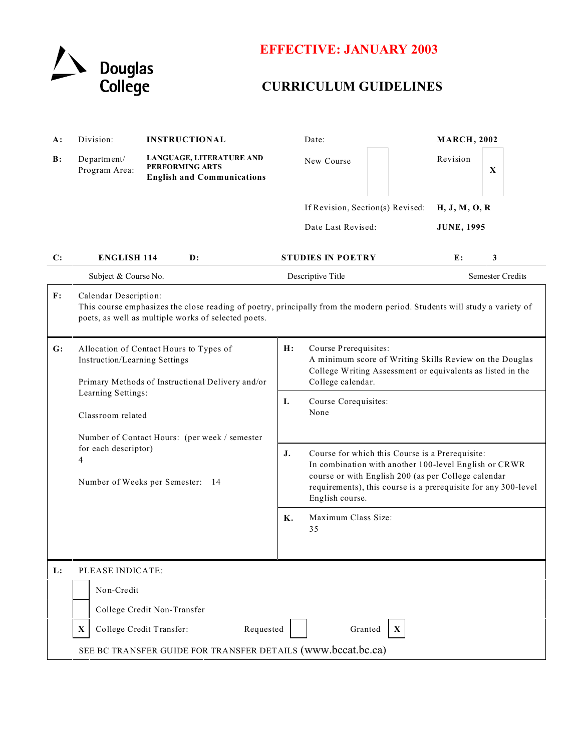

## **EFFECTIVE: JANUARY 2003**

## **CURRICULUM GUIDELINES**

| LANGUAGE, LITERATURE AND<br>B:<br>Department/<br>New Course<br>PERFORMING ARTS<br>Program Area:<br><b>English and Communications</b><br>If Revision, Section(s) Revised:<br>Date Last Revised:<br>C:<br><b>ENGLISH 114</b><br>$\mathbf{D}$ :<br><b>STUDIES IN POETRY</b><br>Subject & Course No.<br>Descriptive Title<br>$\mathbf{F}$ :<br>Calendar Description:<br>This course emphasizes the close reading of poetry, principally from the modern period. Students will study a variety of<br>poets, as well as multiple works of selected poets. | <b>MARCH, 2002</b> |                         |
|-----------------------------------------------------------------------------------------------------------------------------------------------------------------------------------------------------------------------------------------------------------------------------------------------------------------------------------------------------------------------------------------------------------------------------------------------------------------------------------------------------------------------------------------------------|--------------------|-------------------------|
|                                                                                                                                                                                                                                                                                                                                                                                                                                                                                                                                                     | Revision           | $\mathbf X$             |
|                                                                                                                                                                                                                                                                                                                                                                                                                                                                                                                                                     | H, J, M, O, R      |                         |
|                                                                                                                                                                                                                                                                                                                                                                                                                                                                                                                                                     | <b>JUNE, 1995</b>  |                         |
|                                                                                                                                                                                                                                                                                                                                                                                                                                                                                                                                                     | E:                 | 3                       |
|                                                                                                                                                                                                                                                                                                                                                                                                                                                                                                                                                     |                    | <b>Semester Credits</b> |
|                                                                                                                                                                                                                                                                                                                                                                                                                                                                                                                                                     |                    |                         |
| Allocation of Contact Hours to Types of<br>H:<br>Course Prerequisites:<br>G:<br>A minimum score of Writing Skills Review on the Douglas<br>Instruction/Learning Settings<br>College Writing Assessment or equivalents as listed in the<br>College calendar.<br>Primary Methods of Instructional Delivery and/or                                                                                                                                                                                                                                     |                    |                         |
| Learning Settings:<br>Course Corequisites:<br>Ι.<br>None<br>Classroom related                                                                                                                                                                                                                                                                                                                                                                                                                                                                       |                    |                         |
| Number of Contact Hours: (per week / semester<br>for each descriptor)<br>J.<br>Course for which this Course is a Prerequisite:<br>4<br>In combination with another 100-level English or CRWR<br>course or with English 200 (as per College calendar<br>Number of Weeks per Semester: 14<br>requirements), this course is a prerequisite for any 300-level<br>English course.                                                                                                                                                                        |                    |                         |
| K.<br>Maximum Class Size:<br>35                                                                                                                                                                                                                                                                                                                                                                                                                                                                                                                     |                    |                         |
| L:<br>PLEASE INDICATE:<br>Non-Credit<br>College Credit Non-Transfer<br>College Credit Transfer:<br>Requested<br>Granted<br>X<br>$\mathbf{X}$<br>SEE BC TRANSFER GUIDE FOR TRANSFER DETAILS (www.bccat.bc.ca)                                                                                                                                                                                                                                                                                                                                        |                    |                         |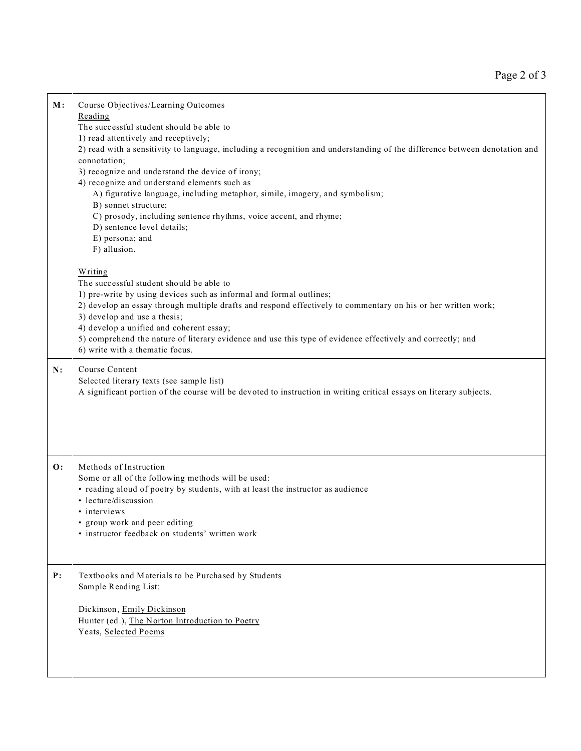| M:             | Course Objectives/Learning Outcomes<br>Reading<br>The successful student should be able to<br>1) read attentively and receptively;<br>2) read with a sensitivity to language, including a recognition and understanding of the difference between denotation and<br>connotation;<br>3) recognize and understand the device of irony;<br>4) recognize and understand elements such as<br>A) figurative language, including metaphor, simile, imagery, and symbolism;<br>B) sonnet structure;<br>C) prosody, including sentence rhythms, voice accent, and rhyme;<br>D) sentence level details;<br>E) persona; and<br>F) allusion. |  |
|----------------|----------------------------------------------------------------------------------------------------------------------------------------------------------------------------------------------------------------------------------------------------------------------------------------------------------------------------------------------------------------------------------------------------------------------------------------------------------------------------------------------------------------------------------------------------------------------------------------------------------------------------------|--|
|                | Writing<br>The successful student should be able to<br>1) pre-write by using devices such as informal and formal outlines;<br>2) develop an essay through multiple drafts and respond effectively to commentary on his or her written work;<br>3) develop and use a thesis;<br>4) develop a unified and coherent essay;<br>5) comprehend the nature of literary evidence and use this type of evidence effectively and correctly; and<br>6) write with a thematic focus.                                                                                                                                                         |  |
| N:             | Course Content<br>Selected literary texts (see sample list)<br>A significant portion of the course will be devoted to instruction in writing critical essays on literary subjects.                                                                                                                                                                                                                                                                                                                                                                                                                                               |  |
| $\mathbf{O}$ : | Methods of Instruction<br>Some or all of the following methods will be used:<br>• reading aloud of poetry by students, with at least the instructor as audience<br>• lecture/discussion<br>· interviews<br>• group work and peer editing<br>· instructor feedback on students' written work                                                                                                                                                                                                                                                                                                                                      |  |
| P:             | Textbooks and Materials to be Purchased by Students<br>Sample Reading List:<br>Dickinson, Emily Dickinson<br>Hunter (ed.), The Norton Introduction to Poetry<br>Yeats, Selected Poems                                                                                                                                                                                                                                                                                                                                                                                                                                            |  |